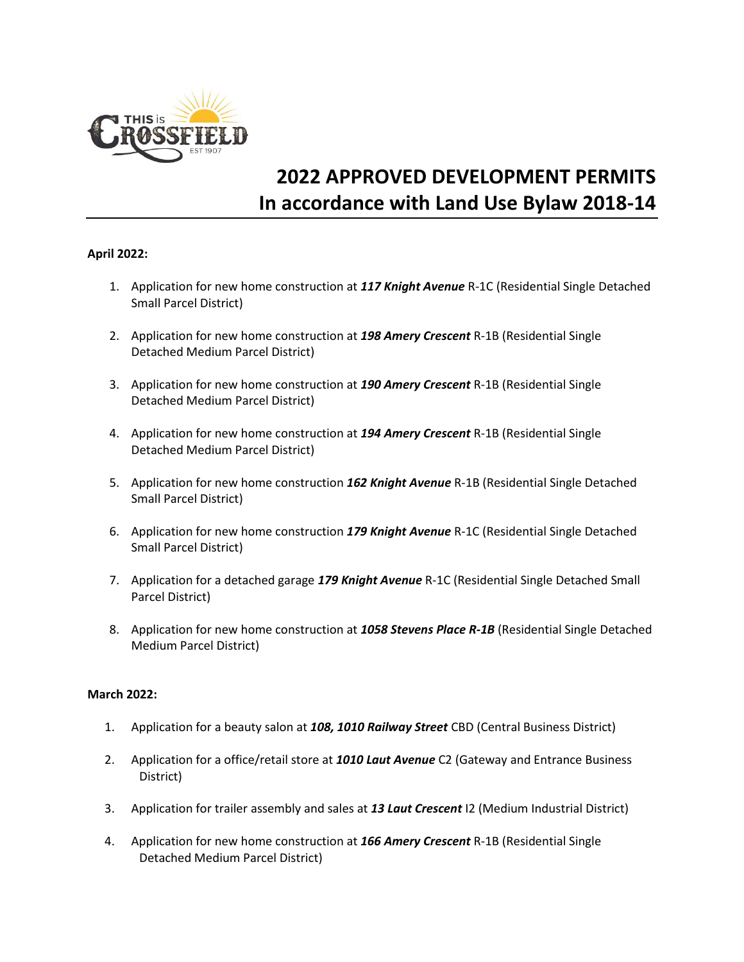

# **2022 APPROVED DEVELOPMENT PERMITS In accordance with Land Use Bylaw 2018-14**

## **April 2022:**

- 1. Application for new home construction at *117 Knight Avenue* R-1C (Residential Single Detached Small Parcel District)
- 2. Application for new home construction at *198 Amery Crescent* R-1B (Residential Single Detached Medium Parcel District)
- 3. Application for new home construction at *190 Amery Crescent* R-1B (Residential Single Detached Medium Parcel District)
- 4. Application for new home construction at *194 Amery Crescent* R-1B (Residential Single Detached Medium Parcel District)
- 5. Application for new home construction *162 Knight Avenue* R-1B (Residential Single Detached Small Parcel District)
- 6. Application for new home construction *179 Knight Avenue* R-1C (Residential Single Detached Small Parcel District)
- 7. Application for a detached garage *179 Knight Avenue* R-1C (Residential Single Detached Small Parcel District)
- 8. Application for new home construction at *1058 Stevens Place R-1B* (Residential Single Detached Medium Parcel District)

## **March 2022:**

- 1. Application for a beauty salon at *108, 1010 Railway Street* CBD (Central Business District)
- 2. Application for a office/retail store at *1010 Laut Avenue* C2 (Gateway and Entrance Business District)
- 3. Application for trailer assembly and sales at *13 Laut Crescent* I2 (Medium Industrial District)
- 4. Application for new home construction at *166 Amery Crescent* R-1B (Residential Single Detached Medium Parcel District)